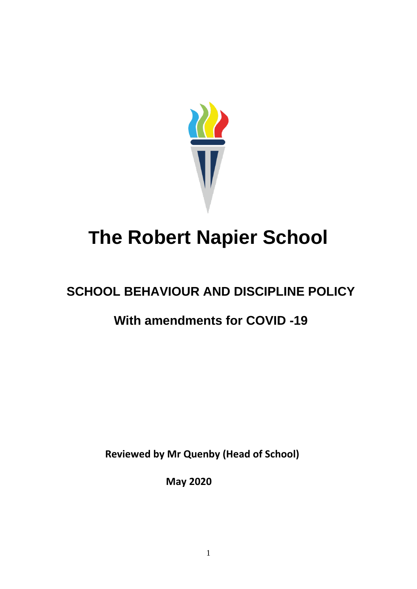

# **The Robert Napier School**

## **SCHOOL BEHAVIOUR AND DISCIPLINE POLICY**

### **With amendments for COVID -19**

 **Reviewed by Mr Quenby (Head of School)**

 **May 2020**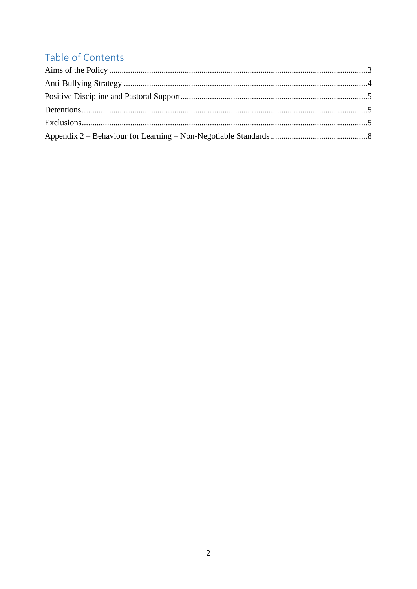### Table of Contents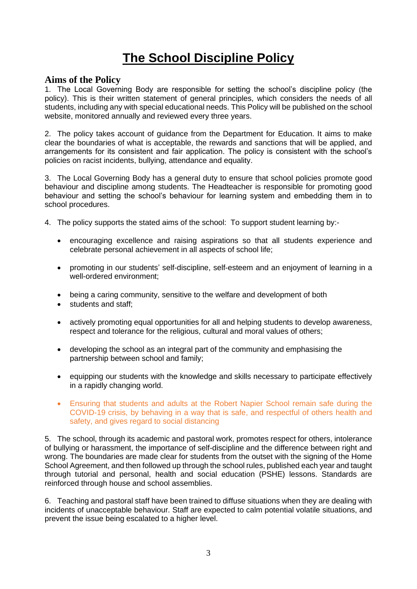### **The School Discipline Policy**

#### <span id="page-2-0"></span>**Aims of the Policy**

1. The Local Governing Body are responsible for setting the school's discipline policy (the policy). This is their written statement of general principles, which considers the needs of all students, including any with special educational needs. This Policy will be published on the school website, monitored annually and reviewed every three years.

2. The policy takes account of guidance from the Department for Education. It aims to make clear the boundaries of what is acceptable, the rewards and sanctions that will be applied, and arrangements for its consistent and fair application. The policy is consistent with the school's policies on racist incidents, bullying, attendance and equality.

3. The Local Governing Body has a general duty to ensure that school policies promote good behaviour and discipline among students. The Headteacher is responsible for promoting good behaviour and setting the school's behaviour for learning system and embedding them in to school procedures.

- 4. The policy supports the stated aims of the school: To support student learning by:-
	- encouraging excellence and raising aspirations so that all students experience and celebrate personal achievement in all aspects of school life;
	- promoting in our students' self-discipline, self-esteem and an enjoyment of learning in a well-ordered environment;
	- being a caring community, sensitive to the welfare and development of both
	- students and staff:
	- actively promoting equal opportunities for all and helping students to develop awareness, respect and tolerance for the religious, cultural and moral values of others;
	- developing the school as an integral part of the community and emphasising the partnership between school and family;
	- equipping our students with the knowledge and skills necessary to participate effectively in a rapidly changing world.
	- Ensuring that students and adults at the Robert Napier School remain safe during the COVID-19 crisis, by behaving in a way that is safe, and respectful of others health and safety, and gives regard to social distancing

5. The school, through its academic and pastoral work, promotes respect for others, intolerance of bullying or harassment, the importance of self-discipline and the difference between right and wrong. The boundaries are made clear for students from the outset with the signing of the Home School Agreement, and then followed up through the school rules, published each year and taught through tutorial and personal, health and social education (PSHE) lessons. Standards are reinforced through house and school assemblies.

6. Teaching and pastoral staff have been trained to diffuse situations when they are dealing with incidents of unacceptable behaviour. Staff are expected to calm potential volatile situations, and prevent the issue being escalated to a higher level.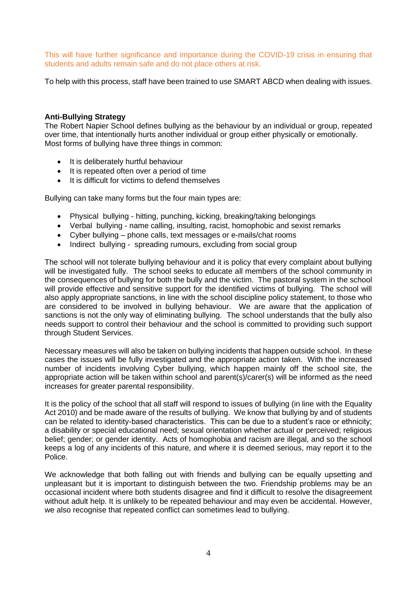This will have further significance and importance during the COVID-19 crisis in ensuring that students and adults remain safe and do not place others at risk.

To help with this process, staff have been trained to use SMART ABCD when dealing with issues.

#### <span id="page-3-0"></span>**Anti-Bullying Strategy**

The Robert Napier School defines bullying as the behaviour by an individual or group, repeated over time, that intentionally hurts another individual or group either physically or emotionally. Most forms of bullying have three things in common:

- It is deliberately hurtful behaviour
- It is repeated often over a period of time
- It is difficult for victims to defend themselves

Bullying can take many forms but the four main types are:

- Physical bullying hitting, punching, kicking, breaking/taking belongings
- Verbal bullying name calling, insulting, racist, homophobic and sexist remarks
- Cyber bullying phone calls, text messages or e-mails/chat rooms
- Indirect bullying spreading rumours, excluding from social group

The school will not tolerate bullying behaviour and it is policy that every complaint about bullying will be investigated fully. The school seeks to educate all members of the school community in the consequences of bullying for both the bully and the victim. The pastoral system in the school will provide effective and sensitive support for the identified victims of bullying. The school will also apply appropriate sanctions, in line with the school discipline policy statement, to those who are considered to be involved in bullying behaviour. We are aware that the application of sanctions is not the only way of eliminating bullying. The school understands that the bully also needs support to control their behaviour and the school is committed to providing such support through Student Services.

Necessary measures will also be taken on bullying incidents that happen outside school. In these cases the issues will be fully investigated and the appropriate action taken. With the increased number of incidents involving Cyber bullying, which happen mainly off the school site, the appropriate action will be taken within school and parent(s)/carer(s) will be informed as the need increases for greater parental responsibility.

It is the policy of the school that all staff will respond to issues of bullying (in line with the Equality Act 2010) and be made aware of the results of bullying. We know that bullying by and of students can be related to identity-based characteristics. This can be due to a student's race or ethnicity; a disability or special educational need; sexual orientation whether actual or perceived; religious belief; gender; or gender identity. Acts of homophobia and racism are illegal, and so the school keeps a log of any incidents of this nature, and where it is deemed serious, may report it to the Police.

We acknowledge that both falling out with friends and bullying can be equally upsetting and unpleasant but it is important to distinguish between the two. Friendship problems may be an occasional incident where both students disagree and find it difficult to resolve the disagreement without adult help. It is unlikely to be repeated behaviour and may even be accidental. However, we also recognise that repeated conflict can sometimes lead to bullying.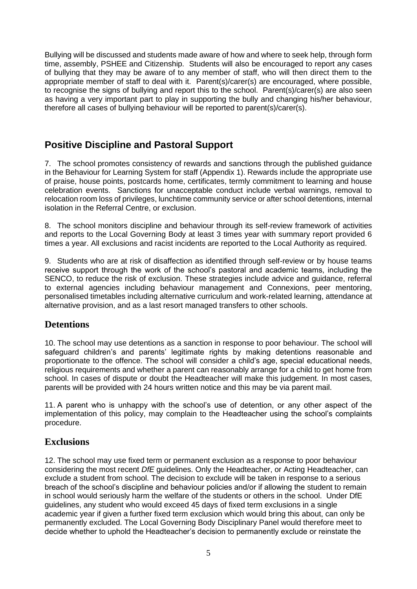Bullying will be discussed and students made aware of how and where to seek help, through form time, assembly, PSHEE and Citizenship. Students will also be encouraged to report any cases of bullying that they may be aware of to any member of staff, who will then direct them to the appropriate member of staff to deal with it. Parent(s)/carer(s) are encouraged, where possible, to recognise the signs of bullying and report this to the school. Parent(s)/carer(s) are also seen as having a very important part to play in supporting the bully and changing his/her behaviour, therefore all cases of bullying behaviour will be reported to parent(s)/carer(s).

#### <span id="page-4-0"></span>**Positive Discipline and Pastoral Support**

7. The school promotes consistency of rewards and sanctions through the published guidance in the Behaviour for Learning System for staff (Appendix 1). Rewards include the appropriate use of praise, house points, postcards home, certificates, termly commitment to learning and house celebration events. Sanctions for unacceptable conduct include verbal warnings, removal to relocation room loss of privileges, lunchtime community service or after school detentions, internal isolation in the Referral Centre, or exclusion.

8. The school monitors discipline and behaviour through its self-review framework of activities and reports to the Local Governing Body at least 3 times year with summary report provided 6 times a year. All exclusions and racist incidents are reported to the Local Authority as required.

9. Students who are at risk of disaffection as identified through self-review or by house teams receive support through the work of the school's pastoral and academic teams, including the SENCO, to reduce the risk of exclusion. These strategies include advice and guidance, referral to external agencies including behaviour management and Connexions, peer mentoring, personalised timetables including alternative curriculum and work-related learning, attendance at alternative provision, and as a last resort managed transfers to other schools.

#### <span id="page-4-1"></span>**Detentions**

10. The school may use detentions as a sanction in response to poor behaviour. The school will safeguard children's and parents' legitimate rights by making detentions reasonable and proportionate to the offence. The school will consider a child's age, special educational needs, religious requirements and whether a parent can reasonably arrange for a child to get home from school. In cases of dispute or doubt the Headteacher will make this judgement. In most cases, parents will be provided with 24 hours written notice and this may be via parent mail.

11. A parent who is unhappy with the school's use of detention, or any other aspect of the implementation of this policy, may complain to the Headteacher using the school's complaints procedure.

#### <span id="page-4-2"></span>**Exclusions**

12. The school may use fixed term or permanent exclusion as a response to poor behaviour considering the most recent *DfE* guidelines. Only the Headteacher, or Acting Headteacher, can exclude a student from school. The decision to exclude will be taken in response to a serious breach of the school's discipline and behaviour policies and/or if allowing the student to remain in school would seriously harm the welfare of the students or others in the school. Under DfE guidelines, any student who would exceed 45 days of fixed term exclusions in a single academic year if given a further fixed term exclusion which would bring this about, can only be permanently excluded. The Local Governing Body Disciplinary Panel would therefore meet to decide whether to uphold the Headteacher's decision to permanently exclude or reinstate the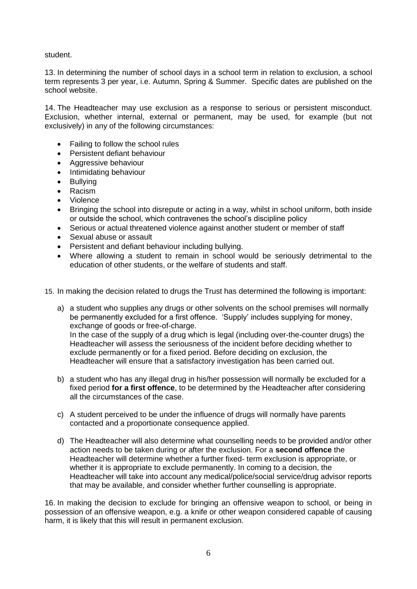student.

13. In determining the number of school days in a school term in relation to exclusion, a school term represents 3 per year, i.e. Autumn, Spring & Summer. Specific dates are published on the school website.

14. The Headteacher may use exclusion as a response to serious or persistent misconduct. Exclusion, whether internal, external or permanent, may be used, for example (but not exclusively) in any of the following circumstances:

- Failing to follow the school rules
- Persistent defiant behaviour
- Aggressive behaviour
- Intimidating behaviour
- **Bullying**
- Racism
- Violence
- Bringing the school into disrepute or acting in a way, whilst in school uniform, both inside or outside the school, which contravenes the school's discipline policy
- Serious or actual threatened violence against another student or member of staff
- Sexual abuse or assault
- Persistent and defiant behaviour including bullying.
- Where allowing a student to remain in school would be seriously detrimental to the education of other students, or the welfare of students and staff.
- 15. In making the decision related to drugs the Trust has determined the following is important:
	- a) a student who supplies any drugs or other solvents on the school premises will normally be permanently excluded for a first offence. 'Supply' includes supplying for money, exchange of goods or free-of-charge. In the case of the supply of a drug which is legal (including over-the-counter drugs) the Headteacher will assess the seriousness of the incident before deciding whether to exclude permanently or for a fixed period. Before deciding on exclusion, the Headteacher will ensure that a satisfactory investigation has been carried out.
	- b) a student who has any illegal drug in his/her possession will normally be excluded for a fixed period **for a first offence**, to be determined by the Headteacher after considering all the circumstances of the case.
	- c) A student perceived to be under the influence of drugs will normally have parents contacted and a proportionate consequence applied.
	- d) The Headteacher will also determine what counselling needs to be provided and/or other action needs to be taken during or after the exclusion. For a **second offence** the Headteacher will determine whether a further fixed- term exclusion is appropriate, or whether it is appropriate to exclude permanently. In coming to a decision, the Headteacher will take into account any medical/police/social service/drug advisor reports that may be available, and consider whether further counselling is appropriate.

16. In making the decision to exclude for bringing an offensive weapon to school, or being in possession of an offensive weapon, e.g. a knife or other weapon considered capable of causing harm, it is likely that this will result in permanent exclusion.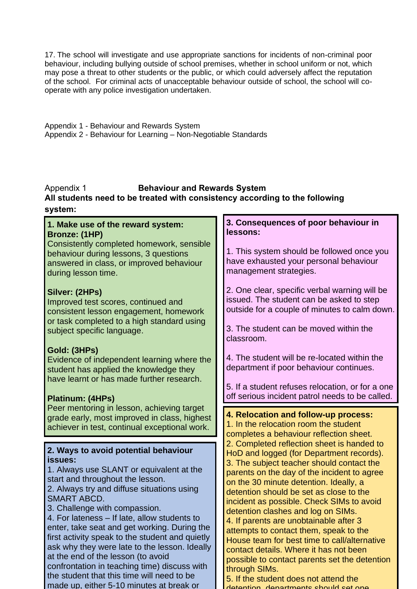17. The school will investigate and use appropriate sanctions for incidents of non-criminal poor behaviour, including bullying outside of school premises, whether in school uniform or not, which may pose a threat to other students or the public, or which could adversely affect the reputation of the school. For criminal acts of unacceptable behaviour outside of school, the school will cooperate with any police investigation undertaken.

Appendix 1 - Behaviour and Rewards System Appendix 2 - Behaviour for Learning – Non-Negotiable Standards

#### Appendix 1 **Behaviour and Rewards System All students need to be treated with consistency according to the following system:**

#### $\cdot$ **1. Make use of the reward system: Bronze: (1HP)** Consistently completed homework, sensible behaviour during lessons, 3 questions answered in class, or improved behaviour during lesson time. **Silver: (2HPs)** Improved test scores, continued and consistent lesson engagement, homework or task completed to a high standard using subject specific language. **Gold: (3HPs)** Evidence of independent learning where the student has applied the knowledge they have learnt or has made further research. **Platinum: (4HPs)** Peer mentoring in lesson, achieving target grade early, most improved in class, highest achiever in test, continual exceptional work. **4. Relocation and follow-up process:** 1. In the relocation room the student completes a behaviour reflection sheet. 2. Completed reflection sheet is handed to HoD and logged (for Department records). 3. The subject teacher should contact the parents on the day of the incident to agree on the 30 minute detention. Ideally, a detention should be set as close to the incident as possible. Check SIMs to avoid detention clashes and log on SIMs. 4. If parents are unobtainable after 3 attempts to contact them, speak to the House team for best time to call/alternative contact details. Where it has not been possible to contact parents set the detention through SIMs. 5. If the student does not attend the **2. Ways to avoid potential behaviour issues:** 1. Always use SLANT or equivalent at the start and throughout the lesson. 2. Always try and diffuse situations using SMART ABCD. 3. Challenge with compassion. 4. For lateness – If late, allow students to enter, take seat and get working. During the first activity speak to the student and quietly ask why they were late to the lesson. Ideally at the end of the lesson (to avoid confrontation in teaching time) discuss with the student that this time will need to be made up, either 5-10 minutes at break or **3. Consequences of poor behaviour in lessons:** 1. This system should be followed once you have exhausted your personal behaviour management strategies. 2. One clear, specific verbal warning will be issued. The student can be asked to step outside for a couple of minutes to calm down. 3. The student can be moved within the classroom. 4. The student will be re-located within the department if poor behaviour continues. 5. If a student refuses relocation, or for a one off serious incident patrol needs to be called.

detention, departments should set one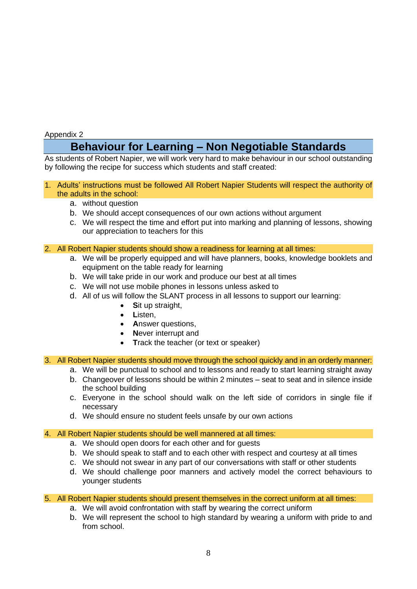#### <span id="page-7-0"></span>Appendix 2

### **Behaviour for Learning – Non Negotiable Standards**

As students of Robert Napier, we will work very hard to make behaviour in our school outstanding by following the recipe for success which students and staff created:

#### 1. Adults' instructions must be followed All Robert Napier Students will respect the authority of the adults in the school:

- a. without question
- b. We should accept consequences of our own actions without argument
- c. We will respect the time and effort put into marking and planning of lessons, showing our appreciation to teachers for this

#### 2. All Robert Napier students should show a readiness for learning at all times:

- a. We will be properly equipped and will have planners, books, knowledge booklets and equipment on the table ready for learning
- b. We will take pride in our work and produce our best at all times
- c. We will not use mobile phones in lessons unless asked to
- d. All of us will follow the SLANT process in all lessons to support our learning:
	- **S**it up straight,
	- **L**isten,
	- **A**nswer questions,
	- **Never interrupt and**
	- **T**rack the teacher (or text or speaker)
- 3. All Robert Napier students should move through the school quickly and in an orderly manner:
	- a. We will be punctual to school and to lessons and ready to start learning straight away
	- b. Changeover of lessons should be within 2 minutes seat to seat and in silence inside the school building
	- c. Everyone in the school should walk on the left side of corridors in single file if necessary
	- d. We should ensure no student feels unsafe by our own actions

#### 4. All Robert Napier students should be well mannered at all times:

- a. We should open doors for each other and for guests
- b. We should speak to staff and to each other with respect and courtesy at all times
- c. We should not swear in any part of our conversations with staff or other students
- d. We should challenge poor manners and actively model the correct behaviours to younger students

#### 5. All Robert Napier students should present themselves in the correct uniform at all times:

- a. We will avoid confrontation with staff by wearing the correct uniform
- b. We will represent the school to high standard by wearing a uniform with pride to and from school.